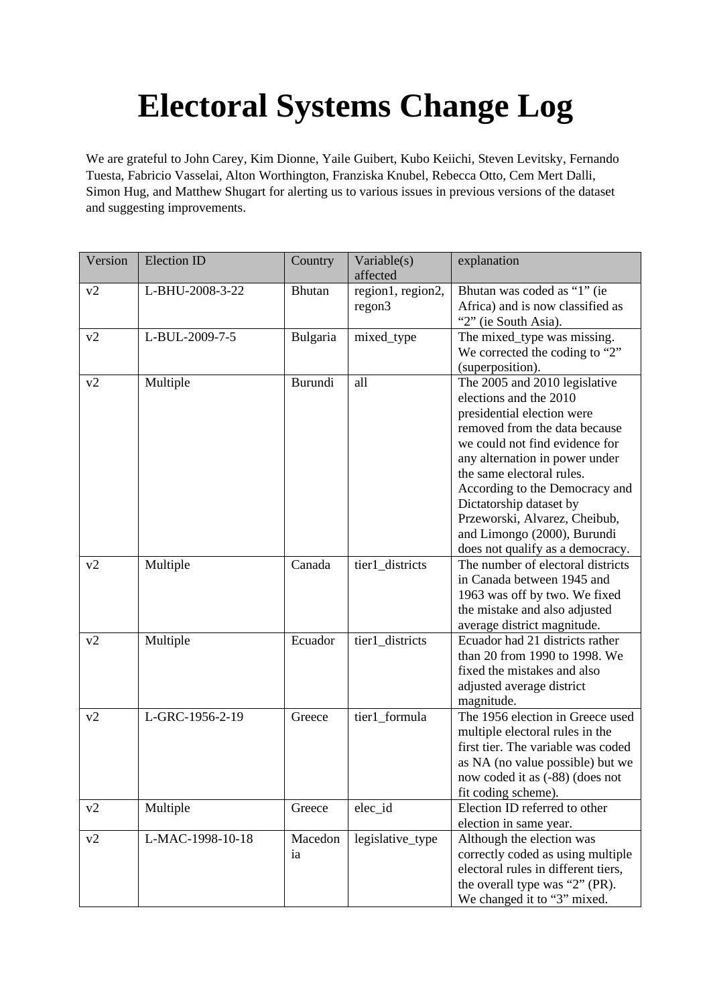## **Electoral Systems Change Log**

We are grateful to John Carey, Kim Dionne, Yaile Guibert, Kubo Keiichi, Steven Levitsky, Fernando Tuesta, Fabricio Vasselai, Alton Worthington, Franziska Knubel, Rebecca Otto, Cem Mert Dalli, Simon Hug, and Matthew Shugart for alerting us to various issues in previous versions of the dataset and suggesting improvements.

| Version        | <b>Election ID</b> | Country         | Variable(s)<br>affected     | explanation                                                                                                                                                                                                                                                                                                                                                                              |
|----------------|--------------------|-----------------|-----------------------------|------------------------------------------------------------------------------------------------------------------------------------------------------------------------------------------------------------------------------------------------------------------------------------------------------------------------------------------------------------------------------------------|
| v2             | L-BHU-2008-3-22    | <b>Bhutan</b>   | region1, region2,<br>regon3 | Bhutan was coded as "1" (ie<br>Africa) and is now classified as<br>"2" (ie South Asia).                                                                                                                                                                                                                                                                                                  |
| v2             | L-BUL-2009-7-5     | <b>Bulgaria</b> | mixed_type                  | The mixed_type was missing.<br>We corrected the coding to "2"<br>(superposition).                                                                                                                                                                                                                                                                                                        |
| v <sub>2</sub> | Multiple           | Burundi         | all                         | The 2005 and 2010 legislative<br>elections and the 2010<br>presidential election were<br>removed from the data because<br>we could not find evidence for<br>any alternation in power under<br>the same electoral rules.<br>According to the Democracy and<br>Dictatorship dataset by<br>Przeworski, Alvarez, Cheibub,<br>and Limongo (2000), Burundi<br>does not qualify as a democracy. |
| v <sub>2</sub> | Multiple           | Canada          | tier1_districts             | The number of electoral districts<br>in Canada between 1945 and<br>1963 was off by two. We fixed<br>the mistake and also adjusted<br>average district magnitude.                                                                                                                                                                                                                         |
| v <sub>2</sub> | Multiple           | Ecuador         | tier1_districts             | Ecuador had 21 districts rather<br>than 20 from 1990 to 1998. We<br>fixed the mistakes and also<br>adjusted average district<br>magnitude.                                                                                                                                                                                                                                               |
| v <sub>2</sub> | L-GRC-1956-2-19    | Greece          | tier1_formula               | The 1956 election in Greece used<br>multiple electoral rules in the<br>first tier. The variable was coded<br>as NA (no value possible) but we<br>now coded it as (-88) (does not<br>fit coding scheme).                                                                                                                                                                                  |
| v <sub>2</sub> | Multiple           | Greece          | elec_id                     | Election ID referred to other<br>election in same year.                                                                                                                                                                                                                                                                                                                                  |
| v <sub>2</sub> | L-MAC-1998-10-18   | Macedon<br>ia   | legislative_type            | Although the election was<br>correctly coded as using multiple<br>electoral rules in different tiers,<br>the overall type was "2" (PR).<br>We changed it to "3" mixed.                                                                                                                                                                                                                   |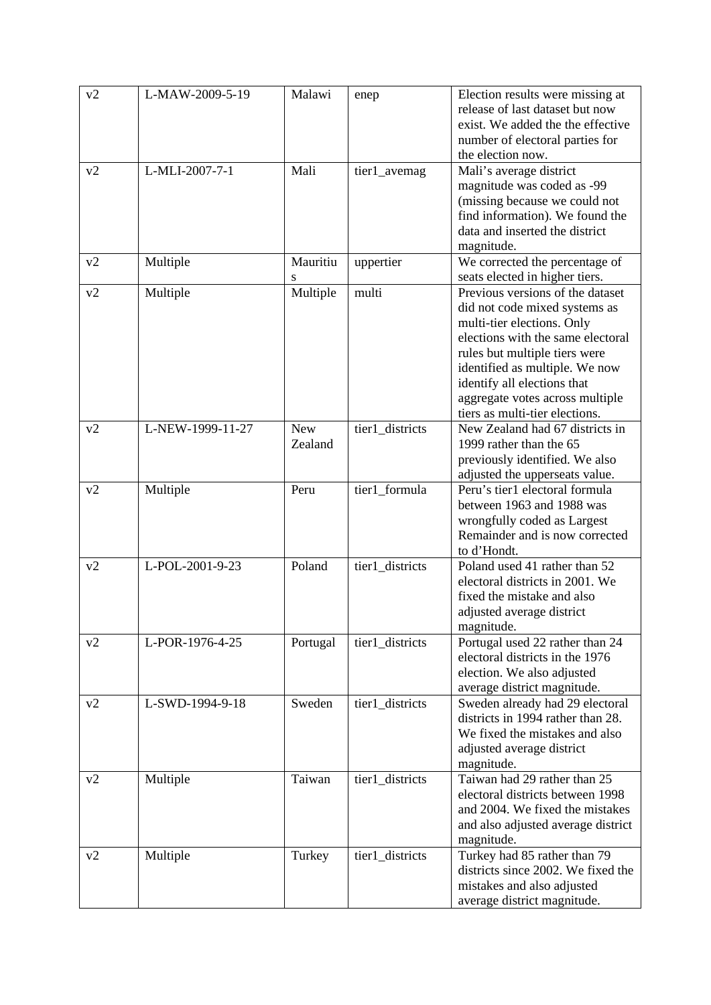| v <sub>2</sub> | L-MAW-2009-5-19  | Malawi     | enep            | Election results were missing at                              |
|----------------|------------------|------------|-----------------|---------------------------------------------------------------|
|                |                  |            |                 | release of last dataset but now                               |
|                |                  |            |                 | exist. We added the the effective                             |
|                |                  |            |                 | number of electoral parties for                               |
|                |                  |            |                 | the election now.                                             |
| v <sub>2</sub> | L-MLI-2007-7-1   | Mali       | tier1_avemag    | Mali's average district                                       |
|                |                  |            |                 | magnitude was coded as -99                                    |
|                |                  |            |                 | (missing because we could not                                 |
|                |                  |            |                 | find information). We found the                               |
|                |                  |            |                 | data and inserted the district                                |
|                |                  |            |                 | magnitude.                                                    |
| v2             | Multiple         | Mauritiu   | uppertier       | We corrected the percentage of                                |
|                |                  | S          |                 | seats elected in higher tiers.                                |
| v <sub>2</sub> | Multiple         | Multiple   | multi           | Previous versions of the dataset                              |
|                |                  |            |                 | did not code mixed systems as                                 |
|                |                  |            |                 | multi-tier elections. Only                                    |
|                |                  |            |                 | elections with the same electoral                             |
|                |                  |            |                 | rules but multiple tiers were                                 |
|                |                  |            |                 | identified as multiple. We now                                |
|                |                  |            |                 | identify all elections that                                   |
|                |                  |            |                 | aggregate votes across multiple                               |
|                |                  |            |                 | tiers as multi-tier elections.                                |
| v <sub>2</sub> | L-NEW-1999-11-27 | <b>New</b> | tier1_districts | New Zealand had 67 districts in                               |
|                |                  | Zealand    |                 | 1999 rather than the 65                                       |
|                |                  |            |                 | previously identified. We also                                |
|                |                  |            |                 | adjusted the upperseats value.                                |
| v <sub>2</sub> | Multiple         | Peru       | tier1_formula   | Peru's tier1 electoral formula                                |
|                |                  |            |                 | between 1963 and 1988 was                                     |
|                |                  |            |                 | wrongfully coded as Largest                                   |
|                |                  |            |                 | Remainder and is now corrected                                |
|                |                  | Poland     |                 | to d'Hondt.                                                   |
| v <sub>2</sub> | L-POL-2001-9-23  |            | tier1_districts | Poland used 41 rather than 52                                 |
|                |                  |            |                 | electoral districts in 2001. We<br>fixed the mistake and also |
|                |                  |            |                 |                                                               |
|                |                  |            |                 | adjusted average district<br>magnitude.                       |
| v <sub>2</sub> | L-POR-1976-4-25  | Portugal   | tier1_districts | Portugal used 22 rather than 24                               |
|                |                  |            |                 | electoral districts in the 1976                               |
|                |                  |            |                 | election. We also adjusted                                    |
|                |                  |            |                 | average district magnitude.                                   |
| v <sub>2</sub> | L-SWD-1994-9-18  | Sweden     | tier1_districts | Sweden already had 29 electoral                               |
|                |                  |            |                 | districts in 1994 rather than 28.                             |
|                |                  |            |                 | We fixed the mistakes and also                                |
|                |                  |            |                 | adjusted average district                                     |
|                |                  |            |                 | magnitude.                                                    |
| v <sub>2</sub> | Multiple         | Taiwan     | tier1_districts | Taiwan had 29 rather than 25                                  |
|                |                  |            |                 | electoral districts between 1998                              |
|                |                  |            |                 | and 2004. We fixed the mistakes                               |
|                |                  |            |                 | and also adjusted average district                            |
|                |                  |            |                 | magnitude.                                                    |
| v <sub>2</sub> | Multiple         | Turkey     | tier1_districts | Turkey had 85 rather than 79                                  |
|                |                  |            |                 | districts since 2002. We fixed the                            |
|                |                  |            |                 | mistakes and also adjusted                                    |
|                |                  |            |                 | average district magnitude.                                   |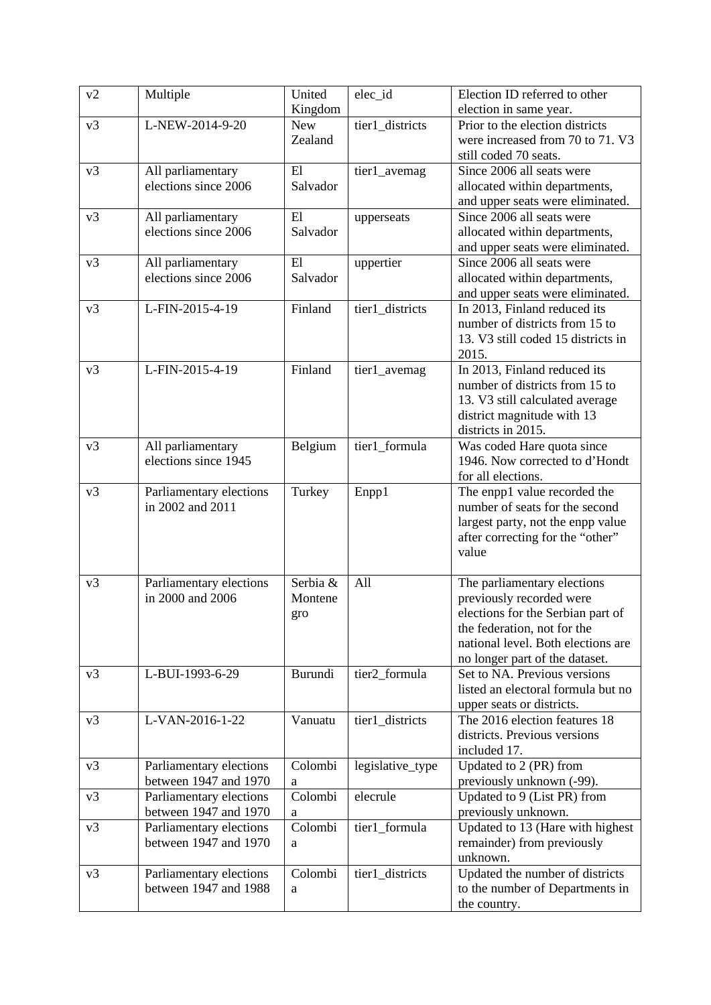| v <sub>2</sub> | Multiple                                         | United                | elec_id          | Election ID referred to other                                                                |
|----------------|--------------------------------------------------|-----------------------|------------------|----------------------------------------------------------------------------------------------|
|                |                                                  | Kingdom               |                  | election in same year.                                                                       |
| v3             | L-NEW-2014-9-20                                  | <b>New</b><br>Zealand | tier1_districts  | Prior to the election districts<br>were increased from 70 to 71. V3<br>still coded 70 seats. |
| v3             | All parliamentary                                | E1                    | tier1_avemag     | Since 2006 all seats were                                                                    |
|                | elections since 2006                             | Salvador              |                  | allocated within departments,                                                                |
|                |                                                  |                       |                  | and upper seats were eliminated.                                                             |
| v3             | All parliamentary                                | El                    | upperseats       | Since 2006 all seats were                                                                    |
|                | elections since 2006                             | Salvador              |                  | allocated within departments,                                                                |
|                |                                                  |                       |                  | and upper seats were eliminated.                                                             |
| v3             | All parliamentary                                | E1                    | uppertier        | Since 2006 all seats were                                                                    |
|                | elections since 2006                             | Salvador              |                  | allocated within departments,                                                                |
|                |                                                  |                       |                  | and upper seats were eliminated.                                                             |
| v3             | L-FIN-2015-4-19                                  | Finland               | tier1_districts  | In 2013, Finland reduced its                                                                 |
|                |                                                  |                       |                  | number of districts from 15 to                                                               |
|                |                                                  |                       |                  | 13. V3 still coded 15 districts in                                                           |
|                |                                                  |                       |                  | 2015.                                                                                        |
| v3             | L-FIN-2015-4-19                                  | Finland               | tier1_avemag     | In 2013, Finland reduced its                                                                 |
|                |                                                  |                       |                  | number of districts from 15 to                                                               |
|                |                                                  |                       |                  | 13. V3 still calculated average                                                              |
|                |                                                  |                       |                  | district magnitude with 13<br>districts in 2015.                                             |
| v3             | All parliamentary                                | Belgium               | tier1_formula    | Was coded Hare quota since                                                                   |
|                | elections since 1945                             |                       |                  | 1946. Now corrected to d'Hondt                                                               |
|                |                                                  |                       |                  | for all elections.                                                                           |
| v3             | Parliamentary elections                          | Turkey                | Enpp1            | The enpp1 value recorded the                                                                 |
|                | in 2002 and 2011                                 |                       |                  | number of seats for the second                                                               |
|                |                                                  |                       |                  | largest party, not the enpp value                                                            |
|                |                                                  |                       |                  | after correcting for the "other"                                                             |
|                |                                                  |                       |                  | value                                                                                        |
|                |                                                  |                       |                  |                                                                                              |
| v3             | Parliamentary elections<br>in 2000 and 2006      | Serbia &              | All              | The parliamentary elections                                                                  |
|                |                                                  | Montene               |                  | previously recorded were<br>elections for the Serbian part of                                |
|                |                                                  | gro                   |                  | the federation, not for the                                                                  |
|                |                                                  |                       |                  | national level. Both elections are                                                           |
|                |                                                  |                       |                  | no longer part of the dataset.                                                               |
| v3             | L-BUI-1993-6-29                                  | Burundi               | tier2_formula    | Set to NA. Previous versions                                                                 |
|                |                                                  |                       |                  | listed an electoral formula but no                                                           |
|                |                                                  |                       |                  | upper seats or districts.                                                                    |
| v3             | L-VAN-2016-1-22                                  | Vanuatu               | tier1_districts  | The 2016 election features 18                                                                |
|                |                                                  |                       |                  | districts. Previous versions                                                                 |
|                |                                                  |                       |                  | included 17.                                                                                 |
| v3             | Parliamentary elections                          | Colombi               | legislative_type | Updated to 2 (PR) from                                                                       |
|                | between 1947 and 1970                            | a                     |                  | previously unknown (-99).                                                                    |
| v3             | Parliamentary elections                          | Colombi               | elecrule         | Updated to 9 (List PR) from                                                                  |
|                | between 1947 and 1970                            | a<br>Colombi          |                  | previously unknown.                                                                          |
| v3             | Parliamentary elections<br>between 1947 and 1970 |                       | tier1_formula    | Updated to 13 (Hare with highest                                                             |
|                |                                                  | a                     |                  | remainder) from previously<br>unknown.                                                       |
| v3             | Parliamentary elections                          | Colombi               | tier1_districts  | Updated the number of districts                                                              |
|                | between 1947 and 1988                            | a                     |                  | to the number of Departments in                                                              |
|                |                                                  |                       |                  | the country.                                                                                 |